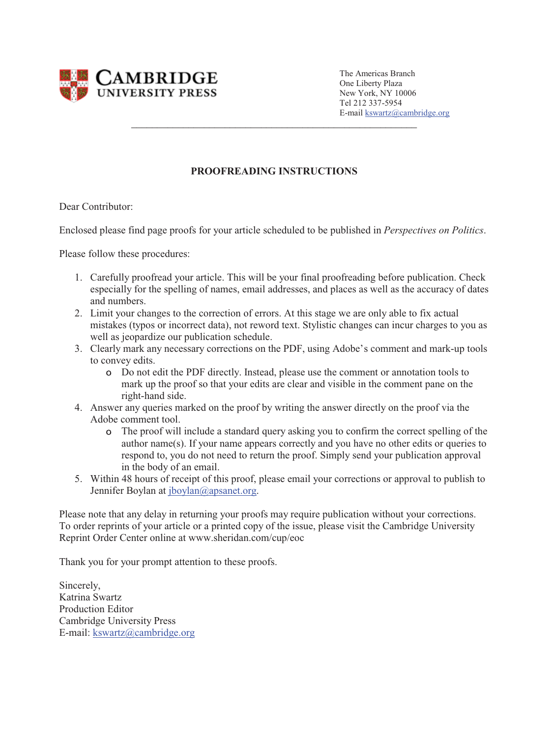

The Americas Branch One Liberty Plaza New York, NY 10006 Tel 212 337-5954 E-mail kswartz@cambridge.org

## **PROOFREADING INSTRUCTIONS**

\_\_\_\_\_\_\_\_\_\_\_\_\_\_\_\_\_\_\_\_\_\_\_\_\_\_\_\_\_\_\_\_\_\_\_\_\_\_\_\_\_\_\_\_\_\_\_\_\_\_\_\_\_\_\_

Dear Contributor:

Enclosed please find page proofs for your article scheduled to be published in *Perspectives on Politics*.

Please follow these procedures:

- 1. Carefully proofread your article. This will be your final proofreading before publication. Check especially for the spelling of names, email addresses, and places as well as the accuracy of dates and numbers.
- 2. Limit your changes to the correction of errors. At this stage we are only able to fix actual mistakes (typos or incorrect data), not reword text. Stylistic changes can incur charges to you as well as jeopardize our publication schedule.
- 3. Clearly mark any necessary corrections on the PDF, using Adobe's comment and mark-up tools to convey edits.
	- Do not edit the PDF directly. Instead, please use the comment or annotation tools to mark up the proof so that your edits are clear and visible in the comment pane on the right-hand side.
- 4. Answer any queries marked on the proof by writing the answer directly on the proof via the Adobe comment tool.
	- The proof will include a standard query asking you to confirm the correct spelling of the author name(s). If your name appears correctly and you have no other edits or queries to respond to, you do not need to return the proof. Simply send your publication approval in the body of an email.
- 5. Within 48 hours of receipt of this proof, please email your corrections or approval to publish to Jennifer Boylan at jboylan@apsanet.org.

Please note that any delay in returning your proofs may require publication without your corrections. To order reprints of your article or a printed copy of the issue, please visit the Cambridge University Reprint Order Center online at www.sheridan.com/cup/eoc

Thank you for your prompt attention to these proofs.

Sincerely, Katrina Swartz Production Editor Cambridge University Press E-mail: kswartz@cambridge.org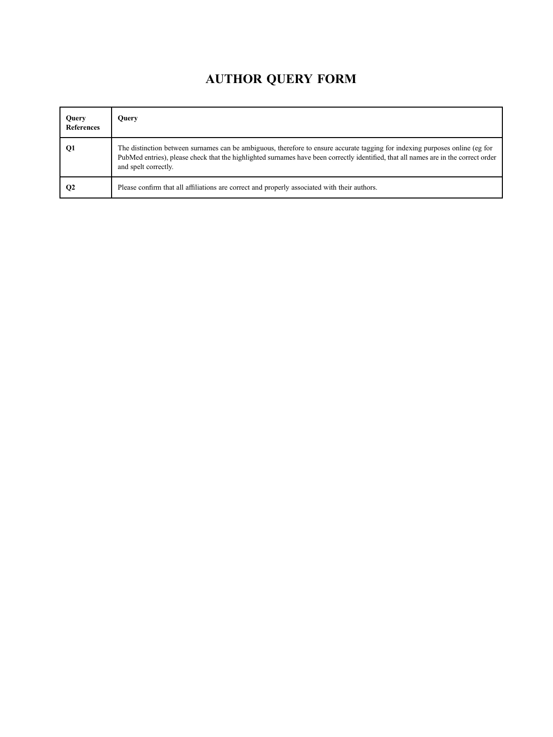## AUTHOR QUERY FORM

<span id="page-1-1"></span><span id="page-1-0"></span>

| Query<br><b>References</b> | Query                                                                                                                                                                                                                                                                                       |
|----------------------------|---------------------------------------------------------------------------------------------------------------------------------------------------------------------------------------------------------------------------------------------------------------------------------------------|
| Q1                         | The distinction between surnames can be ambiguous, therefore to ensure accurate tagging for indexing purposes online (eg for<br>PubMed entries), please check that the highlighted surnames have been correctly identified, that all names are in the correct order<br>and spelt correctly. |
| $\mathbf{Q}$               | Please confirm that all affiliations are correct and properly associated with their authors.                                                                                                                                                                                                |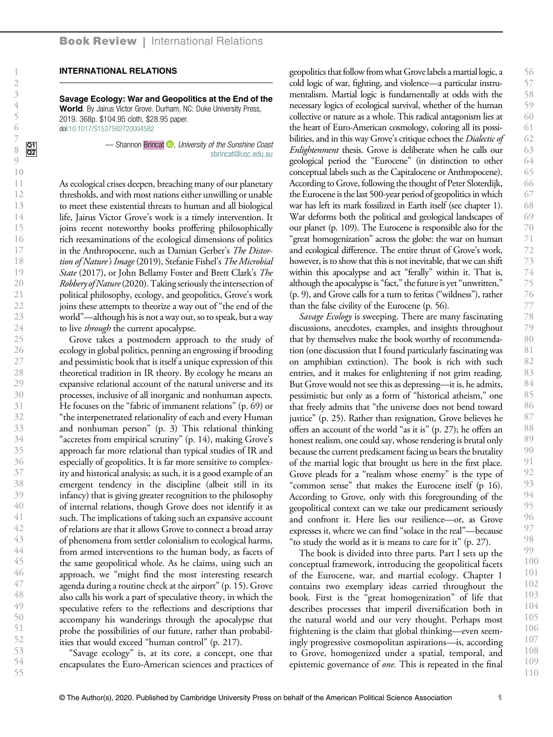## INTERNATIONAL RELATIONS

Savage Ecology: War and Geopolitics at the End of the World. By Jairus Victor Grove. Durham, NC: Duke University Press, 2019. 368p. \$104.95 cloth, \$28.95 paper. doi:[10.1017/S1537592720004582](https://doi.org/10.1017/S1537592720004582)

<span id="page-2-0"></span>

As ecological crises deepen, breaching many of our planetary thresholds, and with most nations either unwilling or unable to meet these existential threats to human and all biological life, Jairus Victor Grove's work is a timely intervention. It joins recent noteworthy books proffering philosophically rich reexaminations of the ecological dimensions of politics in the Anthropocene, such as Damian Gerber'<sup>s</sup> The Distortion of Nature's Image (2019), Stefanie Fishel'<sup>s</sup> The Microbial State (2017), or John Bellamy Foster and Brett Clark's The Robbery of Nature(2020). Taking seriously the intersection of political philosophy, ecology, and geopolitics, Grove's work joins these attempts to theorize a way out of "the end of the world"—although his is not a way out, so to speak, but a way to live *through* the current apocalypse.

Grove takes a postmodern approach to the study of ecology in global politics, penning an engrossing if brooding and pessimistic book that is itself a unique expression of this theoretical tradition in IR theory. By ecology he means an expansive relational account of the natural universe and its processes, inclusive of all inorganic and nonhuman aspects. He focuses on the "fabric of immanent relations" (p. 69) or "the interpenetrated relationality of each and every Human and nonhuman person" (p. 3) This relational thinking "accretes from empirical scrutiny" (p. 14), making Grove's approach far more relational than typical studies of IR and especially of geopolitics. It is far more sensitive to complexity and historical analysis; as such, it is a good example of an emergent tendency in the discipline (albeit still in its infancy) that is giving greater recognition to the philosophy of internal relations, though Grove does not identify it as such. The implications of taking such an expansive account of relations are that it allows Grove to connect a broad array of phenomena from settler colonialism to ecological harms, from armed interventions to the human body, as facets of the same geopolitical whole. As he claims, using such an approach, we "might find the most interesting research agenda during a routine check at the airport"(p. 15). Grove also calls his work a part of speculative theory, in which the speculative refers to the reflections and descriptions that accompany his wanderings through the apocalypse that probe the possibilities of our future, rather than probabilities that would exceed "human control" (p. 217).

"Savage ecology" is, at its core, a concept, one that encapsulates the Euro-American sciences and practices of geopolitics that follow from what Grove labels a martial logic, a cold logic of war, fighting, and violence—a particular instrumentalism. Martial logic is fundamentally at odds with the necessary logics of ecological survival, whether of the human collective or nature as a whole. This radical antagonism lies at the heart of Euro-American cosmology, coloring all its possibilities, and in this way Grove's critique echoes the *Dialectic of* Enlightenment thesis. Grove is deliberate when he calls our geological period the "Eurocene" (in distinction to other conceptual labels such as the Capitalocene or Anthropocene). According to Grove, following the thought of Peter Sloterdijk, the Eurocene is the last 500-year period of geopolitics in which war has left its mark fossilized in Earth itself (see chapter 1). War deforms both the political and geological landscapes of our planet (p. 109). The Eurocene is responsible also for the "great homogenization" across the globe: the war on human and ecological difference. The entire thrust of Grove's work, however, is to show that this is not inevitable, that we can shift within this apocalypse and act "ferally" within it. That is, although the apocalypse is "fact," the future is yet "unwritten," (p. 9), and Grove calls for a turn to feritas ("wildness"), rather than the false civility of the Eurocene (p. 56).

Savage Ecology is sweeping. There are many fascinating discussions, anecdotes, examples, and insights throughout that by themselves make the book worthy of recommendation (one discussion that I found particularly fascinating was on amphibian extinction). The book is rich with such entries, and it makes for enlightening if not grim reading. But Grove would not see this as depressing—it is, he admits, pessimistic but only as a form of "historical atheism," one that freely admits that "the universe does not bend toward justice" (p. 25). Rather than resignation, Grove believes he offers an account of the world "as it is" (p. 27); he offers an honest realism, one could say, whose rendering is brutal only because the current predicament facing us bears the brutality of the martial logic that brought us here in the first place. Grove pleads for a "realism whose enemy" is the type of "common sense" that makes the Eurocene itself (p 16). According to Grove, only with this foregrounding of the geopolitical context can we take our predicament seriously and confront it. Here lies our resilience—or, as Grove expresses it, where we can find "solace in the real"—because "to study the world as it is means to care for it" (p. 27).

The book is divided into three parts. Part I sets up the conceptual framework, introducing the geopolitical facets of the Eurocene, war, and martial ecology. Chapter 1 contains two exemplary ideas carried throughout the book. First is the "great homogenization" of life that describes processes that imperil diversification both in the natural world and our very thought. Perhaps most frightening is the claim that global thinking—even seemingly progressive cosmopolitan aspirations—is, according to Grove, homogenized under a spatial, temporal, and epistemic governance of one. This is repeated in the final